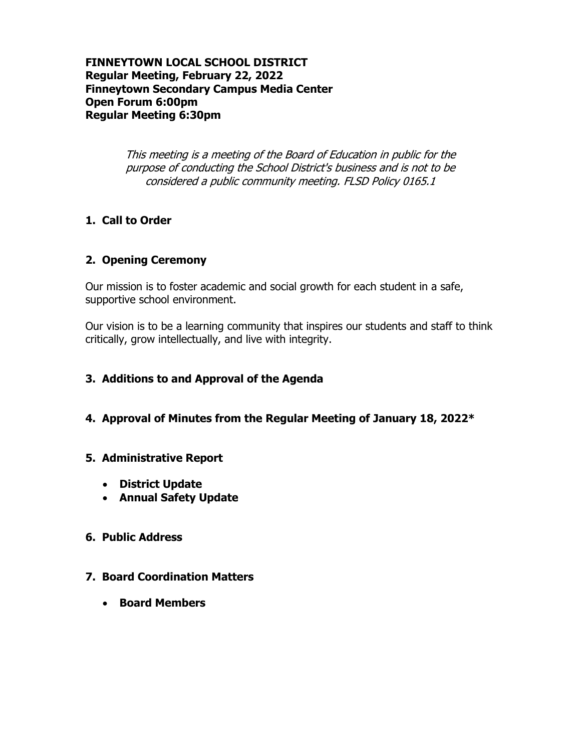### **FINNEYTOWN LOCAL SCHOOL DISTRICT Regular Meeting, February 22, 2022 Finneytown Secondary Campus Media Center Open Forum 6:00pm Regular Meeting 6:30pm**

This meeting is a meeting of the Board of Education in public for the purpose of conducting the School District's business and is not to be considered a public community meeting. FLSD Policy 0165.1

# **1. Call to Order**

### **2. Opening Ceremony**

Our mission is to foster academic and social growth for each student in a safe, supportive school environment.

Our vision is to be a learning community that inspires our students and staff to think critically, grow intellectually, and live with integrity.

### **3. Additions to and Approval of the Agenda**

**4. Approval of Minutes from the Regular Meeting of January 18, 2022\***

### **5. Administrative Report**

- **District Update**
- **Annual Safety Update**

### **6. Public Address**

### **7. Board Coordination Matters**

**Board Members**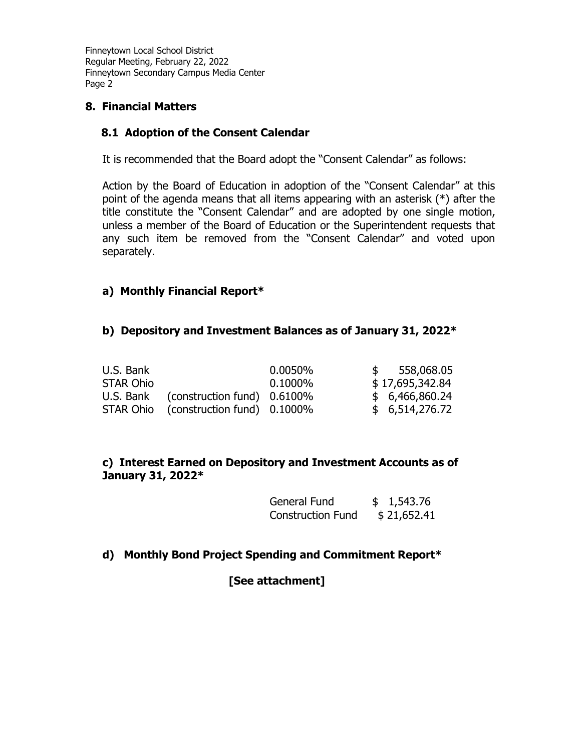### **8. Financial Matters**

### **8.1 Adoption of the Consent Calendar**

It is recommended that the Board adopt the "Consent Calendar" as follows:

Action by the Board of Education in adoption of the "Consent Calendar" at this point of the agenda means that all items appearing with an asterisk (\*) after the title constitute the "Consent Calendar" and are adopted by one single motion, unless a member of the Board of Education or the Superintendent requests that any such item be removed from the "Consent Calendar" and voted upon separately.

### **a) Monthly Financial Report\***

#### **b) Depository and Investment Balances as of January 31, 2022\***

| U.S. Bank |                                       | 0.0050%    | 558,068.05      |
|-----------|---------------------------------------|------------|-----------------|
| STAR Ohio |                                       | $0.1000\%$ | \$17,695,342.84 |
|           | U.S. Bank (construction fund) 0.6100% |            | \$6,466,860.24  |
|           | STAR Ohio (construction fund) 0.1000% |            | \$6,514,276.72  |

### **c) Interest Earned on Depository and Investment Accounts as of January 31, 2022\***

| General Fund             | \$1,543.76  |
|--------------------------|-------------|
| <b>Construction Fund</b> | \$21,652.41 |

### **d) Monthly Bond Project Spending and Commitment Report\***

### **[See attachment]**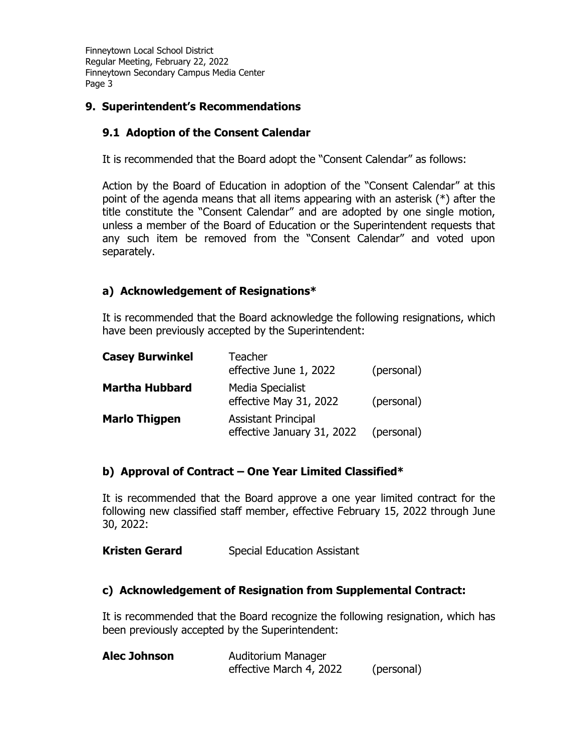# **9. Superintendent's Recommendations**

# **9.1 Adoption of the Consent Calendar**

It is recommended that the Board adopt the "Consent Calendar" as follows:

Action by the Board of Education in adoption of the "Consent Calendar" at this point of the agenda means that all items appearing with an asterisk (\*) after the title constitute the "Consent Calendar" and are adopted by one single motion, unless a member of the Board of Education or the Superintendent requests that any such item be removed from the "Consent Calendar" and voted upon separately.

# **a) Acknowledgement of Resignations\***

It is recommended that the Board acknowledge the following resignations, which have been previously accepted by the Superintendent:

| <b>Casey Burwinkel</b> | <b>Teacher</b><br>effective June 1, 2022                 | (personal) |
|------------------------|----------------------------------------------------------|------------|
| <b>Martha Hubbard</b>  | Media Specialist<br>effective May 31, 2022               | (personal) |
| <b>Marlo Thigpen</b>   | <b>Assistant Principal</b><br>effective January 31, 2022 | (personal) |

# **b) Approval of Contract – One Year Limited Classified\***

It is recommended that the Board approve a one year limited contract for the following new classified staff member, effective February 15, 2022 through June 30, 2022:

**Kristen Gerard** Special Education Assistant

# **c) Acknowledgement of Resignation from Supplemental Contract:**

It is recommended that the Board recognize the following resignation, which has been previously accepted by the Superintendent:

| <b>Alec Johnson</b> | Auditorium Manager      |            |
|---------------------|-------------------------|------------|
|                     | effective March 4, 2022 | (personal) |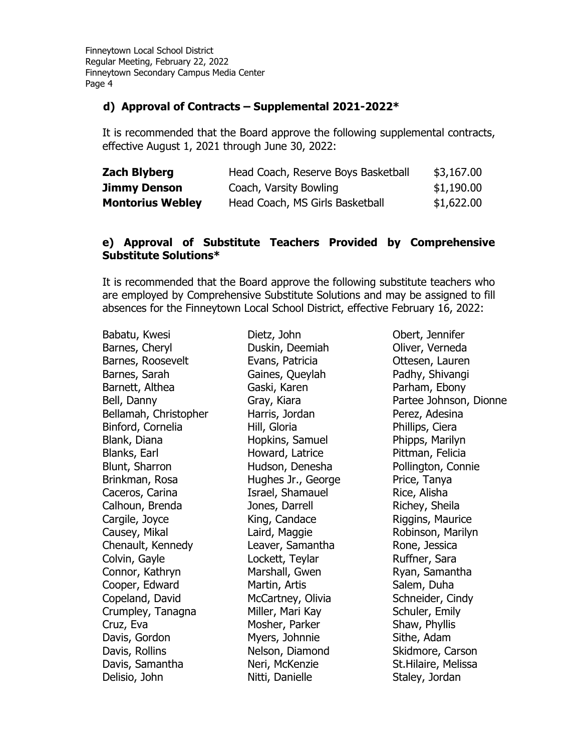#### **d) Approval of Contracts – Supplemental 2021-2022\***

It is recommended that the Board approve the following supplemental contracts, effective August 1, 2021 through June 30, 2022:

| <b>Zach Blyberg</b>     | Head Coach, Reserve Boys Basketball | \$3,167.00 |
|-------------------------|-------------------------------------|------------|
| <b>Jimmy Denson</b>     | Coach, Varsity Bowling              | \$1,190.00 |
| <b>Montorius Webley</b> | Head Coach, MS Girls Basketball     | \$1,622.00 |

### **e) Approval of Substitute Teachers Provided by Comprehensive Substitute Solutions\***

It is recommended that the Board approve the following substitute teachers who are employed by Comprehensive Substitute Solutions and may be assigned to fill absences for the Finneytown Local School District, effective February 16, 2022:

Babatu, Kwesi Barnes, Cheryl Barnes, Roosevelt Barnes, Sarah Barnett, Althea Bell, Danny Bellamah, Christopher Binford, Cornelia Blank, Diana Blanks, Earl Blunt, Sharron Brinkman, Rosa Caceros, Carina Calhoun, Brenda Cargile, Joyce Causey, Mikal Chenault, Kennedy Colvin, Gayle Connor, Kathryn Cooper, Edward Copeland, David Crumpley, Tanagna Cruz, Eva Davis, Gordon Davis, Rollins Davis, Samantha Delisio, John

Dietz, John Duskin, Deemiah Evans, Patricia Gaines, Queylah Gaski, Karen Gray, Kiara Harris, Jordan Hill, Gloria Hopkins, Samuel Howard, Latrice Hudson, Denesha Hughes Jr., George Israel, Shamauel Jones, Darrell King, Candace Laird, Maggie Leaver, Samantha Lockett, Teylar Marshall, Gwen Martin, Artis McCartney, Olivia Miller, Mari Kay Mosher, Parker Myers, Johnnie Nelson, Diamond Neri, McKenzie Nitti, Danielle

Obert, Jennifer Oliver, Verneda Ottesen, Lauren Padhy, Shivangi Parham, Ebony Partee Johnson, Dionne Perez, Adesina Phillips, Ciera Phipps, Marilyn Pittman, Felicia Pollington, Connie Price, Tanya Rice, Alisha Richey, Sheila Riggins, Maurice Robinson, Marilyn Rone, Jessica Ruffner, Sara Ryan, Samantha Salem, Duha Schneider, Cindy Schuler, Emily Shaw, Phyllis Sithe, Adam Skidmore, Carson St.Hilaire, Melissa Staley, Jordan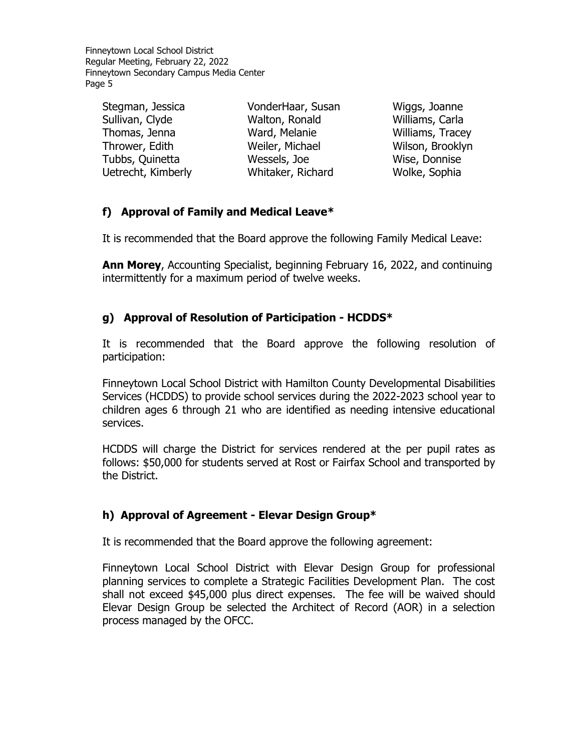| Stegman, Jessica   | VonderHaar, Susan | Wiggs, Joanne    |
|--------------------|-------------------|------------------|
| Sullivan, Clyde    | Walton, Ronald    | Williams, Carla  |
| Thomas, Jenna      | Ward, Melanie     | Williams, Tracey |
| Thrower, Edith     | Weiler, Michael   | Wilson, Brooklyn |
| Tubbs, Quinetta    | Wessels, Joe      | Wise, Donnise    |
| Uetrecht, Kimberly | Whitaker, Richard | Wolke, Sophia    |
|                    |                   |                  |

### **f) Approval of Family and Medical Leave\***

It is recommended that the Board approve the following Family Medical Leave:

**Ann Morey**, Accounting Specialist, beginning February 16, 2022, and continuing intermittently for a maximum period of twelve weeks.

### **g) Approval of Resolution of Participation - HCDDS\***

It is recommended that the Board approve the following resolution of participation:

Finneytown Local School District with Hamilton County Developmental Disabilities Services (HCDDS) to provide school services during the 2022-2023 school year to children ages 6 through 21 who are identified as needing intensive educational services.

HCDDS will charge the District for services rendered at the per pupil rates as follows: \$50,000 for students served at Rost or Fairfax School and transported by the District.

### **h) Approval of Agreement - Elevar Design Group\***

It is recommended that the Board approve the following agreement:

Finneytown Local School District with Elevar Design Group for professional planning services to complete a Strategic Facilities Development Plan. The cost shall not exceed \$45,000 plus direct expenses. The fee will be waived should Elevar Design Group be selected the Architect of Record (AOR) in a selection process managed by the OFCC.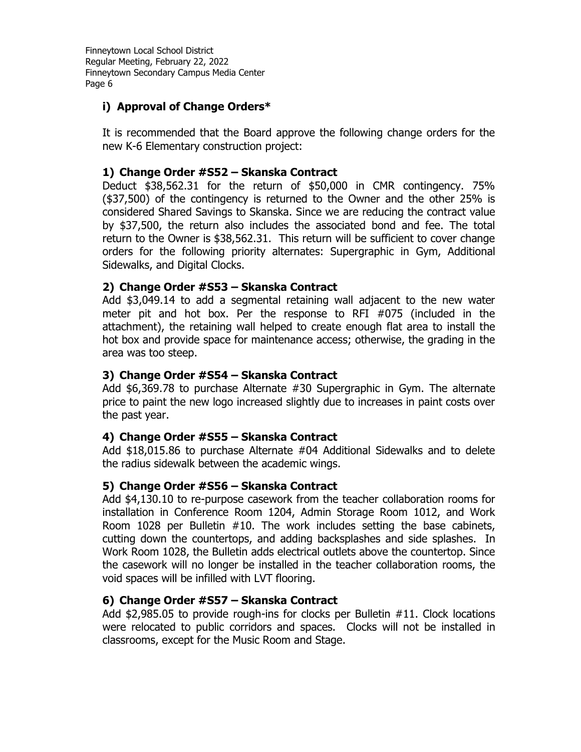### **i) Approval of Change Orders\***

It is recommended that the Board approve the following change orders for the new K-6 Elementary construction project:

### **1) Change Order #S52 – Skanska Contract**

Deduct \$38,562.31 for the return of \$50,000 in CMR contingency. 75% (\$37,500) of the contingency is returned to the Owner and the other 25% is considered Shared Savings to Skanska. Since we are reducing the contract value by \$37,500, the return also includes the associated bond and fee. The total return to the Owner is \$38,562.31. This return will be sufficient to cover change orders for the following priority alternates: Supergraphic in Gym, Additional Sidewalks, and Digital Clocks.

#### **2) Change Order #S53 – Skanska Contract**

Add \$3,049.14 to add a segmental retaining wall adjacent to the new water meter pit and hot box. Per the response to RFI #075 (included in the attachment), the retaining wall helped to create enough flat area to install the hot box and provide space for maintenance access; otherwise, the grading in the area was too steep.

#### **3) Change Order #S54 – Skanska Contract**

Add \$6,369.78 to purchase Alternate #30 Supergraphic in Gym. The alternate price to paint the new logo increased slightly due to increases in paint costs over the past year.

#### **4) Change Order #S55 – Skanska Contract**

Add \$18,015.86 to purchase Alternate #04 Additional Sidewalks and to delete the radius sidewalk between the academic wings.

### **5) Change Order #S56 – Skanska Contract**

Add \$4,130.10 to re-purpose casework from the teacher collaboration rooms for installation in Conference Room 1204, Admin Storage Room 1012, and Work Room 1028 per Bulletin #10. The work includes setting the base cabinets, cutting down the countertops, and adding backsplashes and side splashes. In Work Room 1028, the Bulletin adds electrical outlets above the countertop. Since the casework will no longer be installed in the teacher collaboration rooms, the void spaces will be infilled with LVT flooring.

#### **6) Change Order #S57 – Skanska Contract**

Add \$2,985.05 to provide rough-ins for clocks per Bulletin #11. Clock locations were relocated to public corridors and spaces. Clocks will not be installed in classrooms, except for the Music Room and Stage.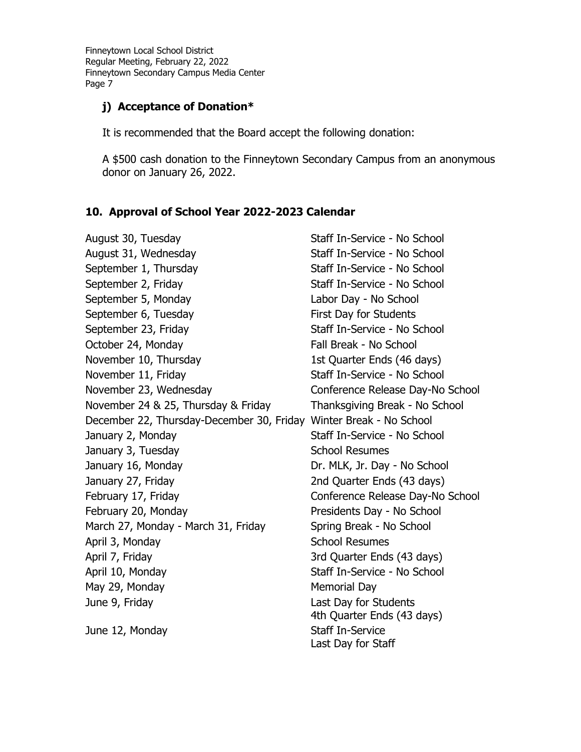# **j) Acceptance of Donation\***

It is recommended that the Board accept the following donation:

A \$500 cash donation to the Finneytown Secondary Campus from an anonymous donor on January 26, 2022.

# **10. Approval of School Year 2022-2023 Calendar**

| August 30, Tuesday                                                 | Staff In-Service - No School     |
|--------------------------------------------------------------------|----------------------------------|
| August 31, Wednesday                                               | Staff In-Service - No School     |
| September 1, Thursday                                              | Staff In-Service - No School     |
| September 2, Friday                                                | Staff In-Service - No School     |
| September 5, Monday                                                | Labor Day - No School            |
| September 6, Tuesday                                               | First Day for Students           |
| September 23, Friday                                               | Staff In-Service - No School     |
| October 24, Monday                                                 | Fall Break - No School           |
| November 10, Thursday                                              | 1st Quarter Ends (46 days)       |
| November 11, Friday                                                | Staff In-Service - No School     |
| November 23, Wednesday                                             | Conference Release Day-No School |
| November 24 & 25, Thursday & Friday                                | Thanksgiving Break - No School   |
| December 22, Thursday-December 30, Friday Winter Break - No School |                                  |
| January 2, Monday                                                  | Staff In-Service - No School     |
| January 3, Tuesday                                                 | <b>School Resumes</b>            |
| January 16, Monday                                                 | Dr. MLK, Jr. Day - No School     |
| January 27, Friday                                                 | 2nd Quarter Ends (43 days)       |
| February 17, Friday                                                | Conference Release Day-No School |
| February 20, Monday                                                | Presidents Day - No School       |
| March 27, Monday - March 31, Friday                                | Spring Break - No School         |
| April 3, Monday                                                    | <b>School Resumes</b>            |
| April 7, Friday                                                    | 3rd Quarter Ends (43 days)       |
| April 10, Monday                                                   | Staff In-Service - No School     |
| May 29, Monday                                                     | <b>Memorial Day</b>              |
| June 9, Friday                                                     | Last Day for Students            |
|                                                                    | 4th Quarter Ends (43 days)       |
| June 12, Monday                                                    | <b>Staff In-Service</b>          |
|                                                                    | Last Day for Staff               |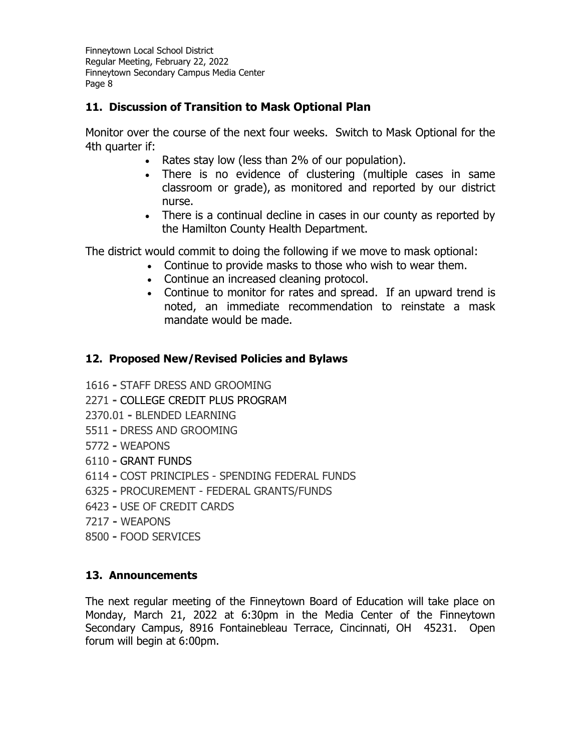# **11. Discussion of Transition to Mask Optional Plan**

Monitor over the course of the next four weeks. Switch to Mask Optional for the 4th quarter if:

- Rates stay low (less than 2% of our population).
- There is no evidence of clustering (multiple cases in same classroom or grade), as monitored and reported by our district nurse.
- There is a continual decline in cases in our county as reported by the Hamilton County Health Department.

The district would commit to doing the following if we move to mask optional:

- Continue to provide masks to those who wish to wear them.
- Continue an increased cleaning protocol.
- Continue to monitor for rates and spread. If an upward trend is noted, an immediate recommendation to reinstate a mask mandate would be made.

# **12. Proposed New/Revised Policies and Bylaws**

- 1616 **-** STAFF DRESS AND GROOMING
- 2271 **-** COLLEGE CREDIT PLUS PROGRAM
- 2370.01 **-** BLENDED LEARNING
- 5511 **-** DRESS AND GROOMING
- 5772 **-** WEAPONS
- 6110 **-** GRANT FUNDS
- 6114 **-** COST PRINCIPLES SPENDING FEDERAL FUNDS
- 6325 **-** PROCUREMENT FEDERAL GRANTS/FUNDS
- 6423 **-** USE OF CREDIT CARDS
- 7217 **-** WEAPONS
- 8500 **-** FOOD SERVICES

# **13. Announcements**

The next regular meeting of the Finneytown Board of Education will take place on Monday, March 21, 2022 at 6:30pm in the Media Center of the Finneytown Secondary Campus, 8916 Fontainebleau Terrace, Cincinnati, OH 45231. Open forum will begin at 6:00pm.